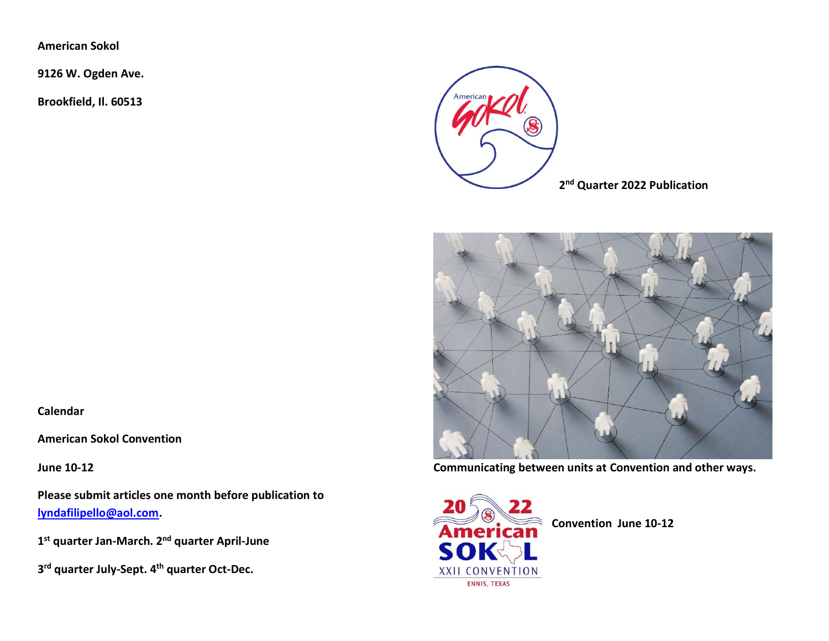**American Sokol**

**Calendar**

**June 10-12** 

**American Sokol Convention**

**9126 W. Ogden Ave.**

**Brookfield, Il. 60513**



**2 nd Quarter 2022 Publication**



**Communicating between units at Convention and other ways.**

**Please submit articles one month before publication to [lyndafilipello@aol.com.](mailto:lyndafilipello@aol.com)** 

**1 st quarter Jan-March. 2nd quarter April-June** 

**3 rd quarter July-Sept. 4th quarter Oct-Dec.**



**Convention June 10-12**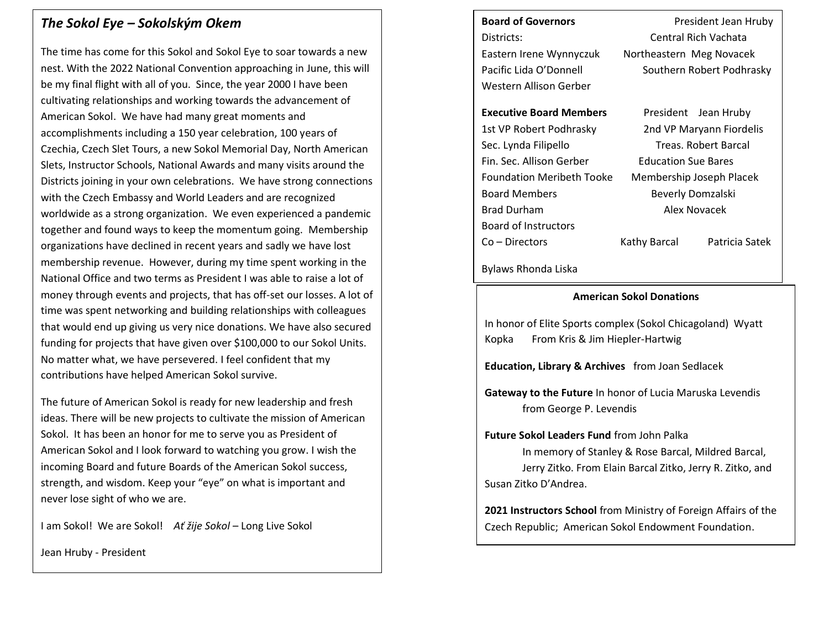### *The Sokol Eye – Sokolským Okem*

The time has come for this Sokol and Sokol Eye to soar towards a new nest. With the 2022 National Convention approaching in June, this will be my final flight with all of you. Since, the year 2000 I have been cultivating relationships and working towards the advancement of American Sokol. We have had many great moments and accomplishments including a 150 year celebration, 100 years of Czechia, Czech Slet Tours, a new Sokol Memorial Day, North American Slets, Instructor Schools, National Awards and many visits around the Districts joining in your own celebrations. We have strong connections with the Czech Embassy and World Leaders and are recognized worldwide as a strong organization. We even experienced a pandemic together and found ways to keep the momentum going. Membership organizations have declined in recent years and sadly we have lost membership revenue. However, during my time spent working in the National Office and two terms as President I was able to raise a lot of money through events and projects, that has off-set our losses. A lot of time was spent networking and building relationships with colleagues that would end up giving us very nice donations. We have also secured funding for projects that have given over \$100,000 to our Sokol Units. No matter what, we have persevered. I feel confident that my contributions have helped American Sokol survive.

The future of American Sokol is ready for new leadership and fresh ideas. There will be new projects to cultivate the mission of American Sokol. It has been an honor for me to serve you as President of American Sokol and I look forward to watching you grow. I wish the incoming Board and future Boards of the American Sokol success, strength, and wisdom. Keep your "eye" on what is important and never lose sight of who we are.

I am Sokol! We are Sokol! *Ať žije Sokol* – Long Live Sokol

Jean Hruby - President

**Board of Governors** President Jean Hruby Districts: Central Rich Vachata Eastern Irene Wynnyczuk Northeastern Meg Novacek Pacific Lida O'Donnell Southern Robert Podhrasky Western Allison Gerber **Executive Board Members** President Jean Hruby 1st VP Robert Podhrasky 2nd VP Maryann Fiordelis Sec. Lynda Filipello Treas. Robert Barcal Fin. Sec. Allison Gerber Education Sue Bares

Foundation Meribeth Tooke Membership Joseph Placek Board Members Beverly Domzalski Brad Durham Alex Novacek Board of Instructors

Co – Directors Kathy Barcal Patricia Satek

Bylaws Rhonda Liska

#### **American Sokol Donations**

In honor of Elite Sports complex (Sokol Chicagoland) Wyatt Kopka From Kris & Jim Hiepler-Hartwig

**Education, Library & Archives** from Joan Sedlacek

**Gateway to the Future** In honor of Lucia Maruska Levendis from George P. Levendis

**Future Sokol Leaders Fund** from John Palka

In memory of Stanley & Rose Barcal, Mildred Barcal, Jerry Zitko. From Elain Barcal Zitko, Jerry R. Zitko, and Susan Zitko D'Andrea.

**2021 Instructors School** from Ministry of Foreign Affairs of the Czech Republic; American Sokol Endowment Foundation.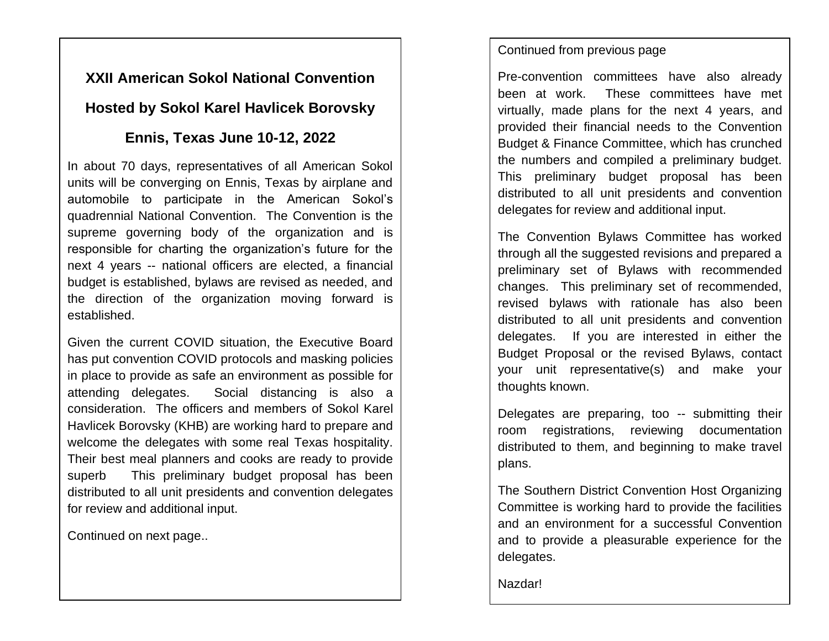# **XXII American Sokol National Convention Hosted by Sokol Karel Havlicek Borovsky**

# **Ennis, Texas June 10-12, 2022**

In about 70 days, representatives of all American Sokol units will be converging on Ennis, Texas by airplane and automobile to participate in the American Sokol's quadrennial National Convention. The Convention is the supreme governing body of the organization and is responsible for charting the organization's future for the next 4 years -- national officers are elected, a financial budget is established, bylaws are revised as needed, and the direction of the organization moving forward is established.

Given the current COVID situation, the Executive Board has put convention COVID protocols and masking policies in place to provide as safe an environment as possible for attending delegates. Social distancing is also a consideration. The officers and members of Sokol Karel Havlicek Borovsky (KHB) are working hard to prepare and welcome the delegates with some real Texas hospitality. Their best meal planners and cooks are ready to provide superb This preliminary budget proposal has been distributed to all unit presidents and convention delegates for review and additional input.

Continued on next page..

## Continued from previous page

Pre-convention committees have also already been at work. These committees have met virtually, made plans for the next 4 years, and provided their financial needs to the Convention Budget & Finance Committee, which has crunched the numbers and compiled a preliminary budget. This preliminary budget proposal has been distributed to all unit presidents and convention delegates for review and additional input.

The Convention Bylaws Committee has worked through all the suggested revisions and prepared a preliminary set of Bylaws with recommended changes. This preliminary set of recommended, revised bylaws with rationale has also been distributed to all unit presidents and convention delegates. If you are interested in either the Budget Proposal or the revised Bylaws, contact your unit representative(s) and make your thoughts known.

Delegates are preparing, too -- submitting their room registrations, reviewing documentation distributed to them, and beginning to make travel plans.

The Southern District Convention Host Organizing Committee is working hard to provide the facilities and an environment for a successful Convention and to provide a pleasurable experience for the delegates.

Nazdar!